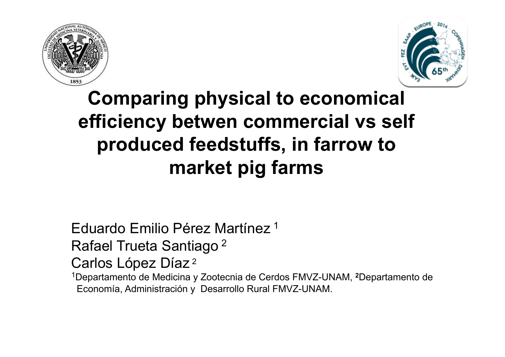



# **Comparing physical to economical efficiency betwen commercial vs self produced feedstuffs, in farrow to market pig farms**

Eduardo Emilio Pérez Martínez <sup>1</sup>

Rafael Trueta Santiago 2

Carlos López Díaz 2

1Departamento de Medicina y Zootecnia de Cerdos FMVZ-UNAM, **<sup>2</sup>**Departamento de Economía, Administración y Desarrollo Rural FMVZ-UNAM.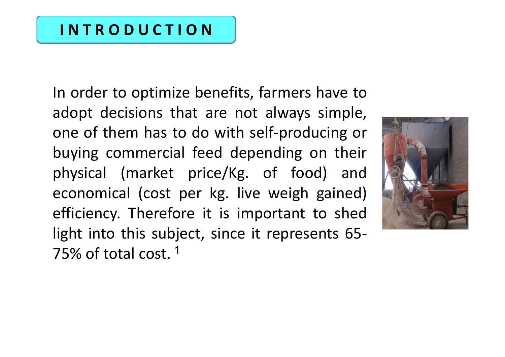### **I N T R O D U C T I O N**

In order to optimize benefits, farmers have to adopt decisions that are not always simple, one of them has to do with self‐producing or buying commercial feed depending on their physical (market price/Kg. of food) and economical (cost per kg. live weigh gained) efficiency. Therefore it is important to shed light into this subject, since it represents 65‐ 75% of total cost. <sup>1</sup>

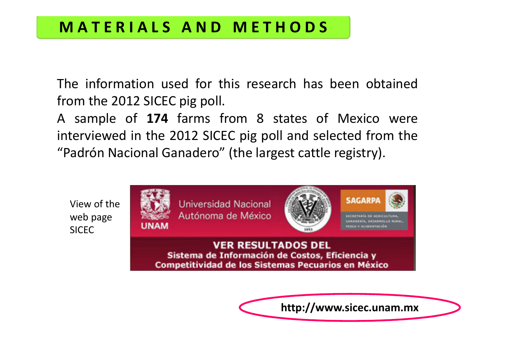### **M A T E R I A L S A N D M E T H O D S**

The information used for this research has been obtained from the 2012 SICEC pig poll.

A sample of **174** farms from 8 states of Mexico were interviewed in the 2012 SICEC pig poll and selected from the "Padrón Nacional Ganadero" (the largest cattle registry).





**http://www.sicec.unam.mx**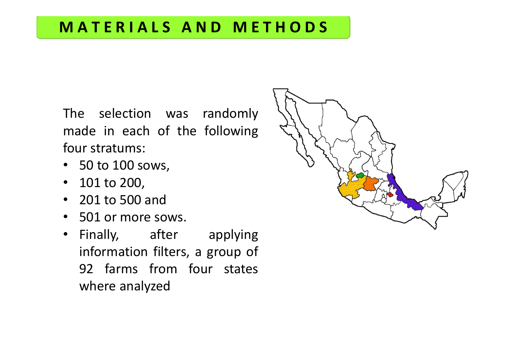## **MAT E R I AL S ANDME T HODS**

The selection was randomly made in each of the following four stratums:

- 50 to 100 sows,
- 101 to 200,
- 201 to 500 and
- 501 or more sows.
- Finally, after applying information filters, <sup>a</sup> group of 92 farms from four states where analyzed

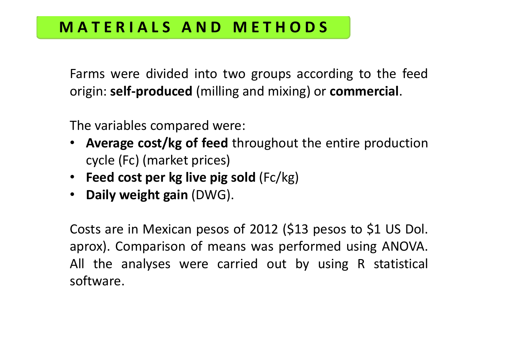### **M A T E R I A L S A N D M E T H O D S**

Farms were divided into two groups according to the feed origin: **self‐produced** (milling and mixing) or **commercial**.

The variables compared were:

- • **Average cost/kg of feed** throughout the entire production cycle (Fc) (market prices)
- **Feed cost per kg live pig sold** (Fc/kg)
- **Daily weight gain** (DWG).

Costs are in Mexican pesos of 2012 (\$13 pesos to \$1 US Dol. aprox). Comparison of means was performed using ANOVA. All the analyses were carried out by using R statistical software.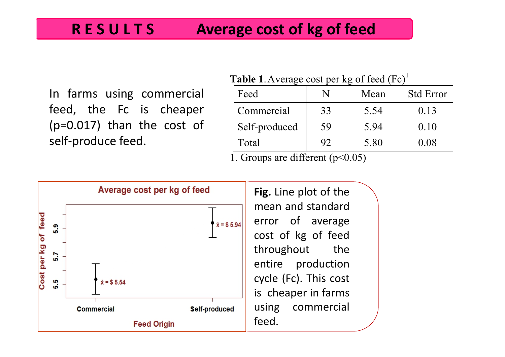#### **R E S UL T S Average cost of kg of feed**

In farms using commercial feed, the Fc is cheaper (p=0.017) than the cost of self‐produce feed.

| <b>Table 1.</b> Average cost per kg of feed $(Fe)^{1}$ |    |      |                  |  |  |  |
|--------------------------------------------------------|----|------|------------------|--|--|--|
| Feed                                                   |    | Mean | <b>Std Error</b> |  |  |  |
| Commercial                                             | 33 | 5.54 | 0.13             |  |  |  |
| Self-produced                                          | 59 | 5.94 | 0.10             |  |  |  |
| Total                                                  | 92 | 5.80 | 0.08             |  |  |  |
| 1.00<br>$\Omega$ $\Omega$ $\Gamma$<br>$\sqrt{ }$       |    |      |                  |  |  |  |

1. Groups are different (p<0.05)

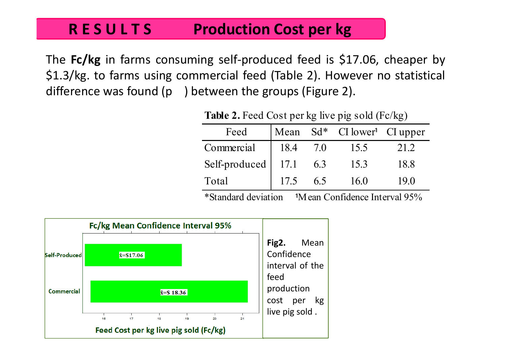#### **R E S UProduction Cost per kg**

The **Fc/kg** in farms consuming self‐produced feed is \$17.06, cheaper by \$1.3/kg. to farms using commercial feed (Table 2). However no statistical difference was found (p ) between the groups (Figure 2).

| Feed          |      |     | Mean $Sd^*$ CI lower <sup>1</sup> CI upper |      |
|---------------|------|-----|--------------------------------------------|------|
| Commercial    | 18.4 | 70  | 15.5                                       | 21.2 |
| Self-produced | 17.1 | 6.3 | 15.3                                       | 18.8 |
| Total         | 17.5 | 6.5 | 16.0                                       | 190  |

**Table 2.** Feed Cost per kg live pig sold (Fc/kg)

 $*$ Standard deviation  $\frac{1}{1}$ Mean Confidence Interval 95%

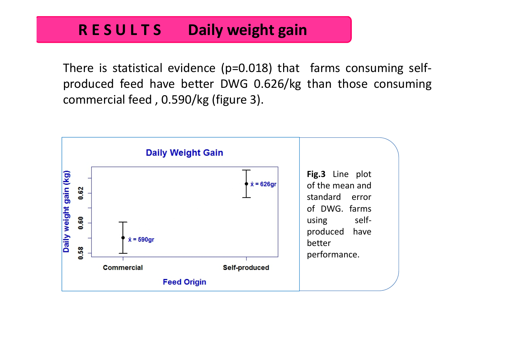#### **R E S UDaily** weight gain

There is statistical evidence (p=0.018) that farms consuming self‐ produced feed have better DWG 0.626/kg than those consuming commercial feed , 0.590/kg (figure 3).

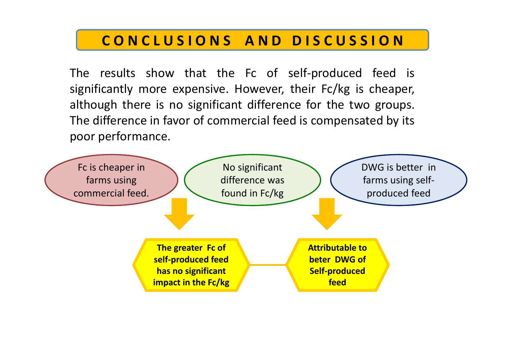### CONCLUSIONS AND DISCUSSION

The results show that the Fc of self-produced feed is significantly more expensive. However, their Fc/kg is cheaper, although there is no significant difference for the two groups. The difference in favor of commercial feed is compensated by its poor performance.

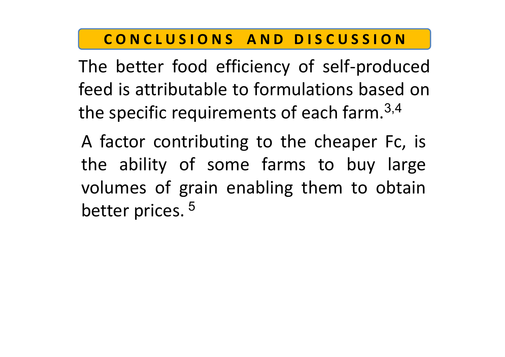### CONCLUSIONS AND DISCUSSION

The better food efficiency of self‐produced feed is attributable to formulations based onthe specific requirements of each farm.  $3,4$ 

A factor contributing to the cheaper Fc, is the ability of some farms to buy large volumes of grain enabling them to obtain better prices.<sup>5</sup>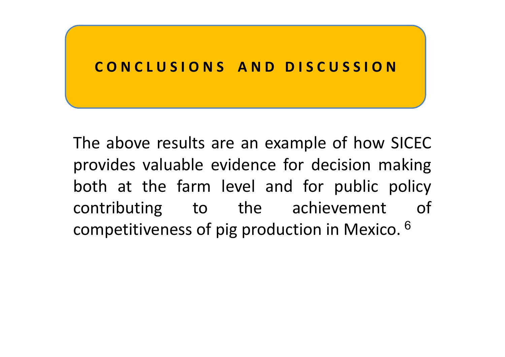### **C ONC L US I ONS A ND D I S C US S I ON**

The above results are an example of how SICEC provides valuable evidence for decision making both at the farm level and for public policy contributing to the achievement of competitiveness of pig production in Mexico.  $^6$